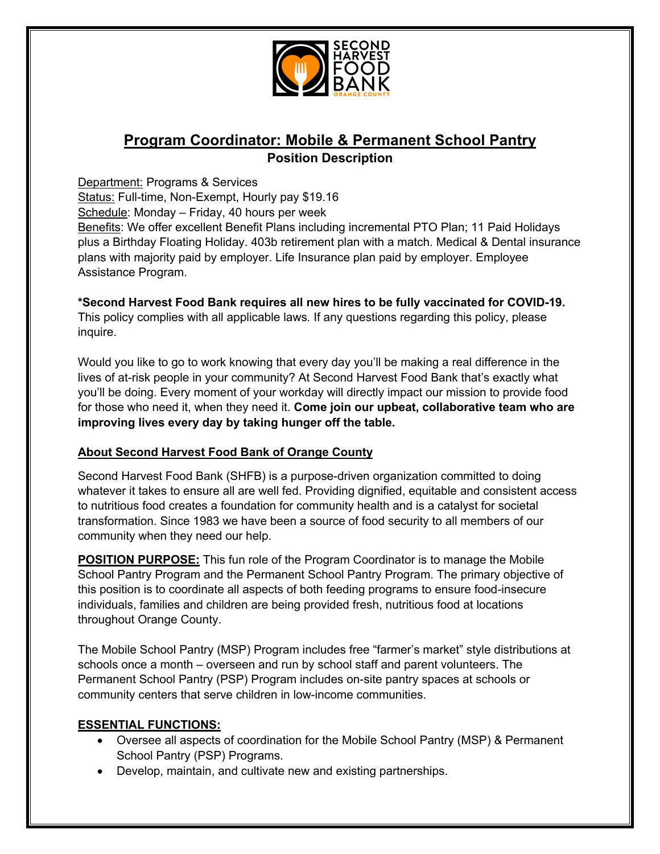

# **Program Coordinator: Mobile & Permanent School Pantry Position Description**

Department: Programs & Services

Status: Full-time, Non-Exempt, Hourly pay \$19.16

Schedule: Monday – Friday, 40 hours per week

Benefits: We offer excellent Benefit Plans including incremental PTO Plan; 11 Paid Holidays plus a Birthday Floating Holiday. 403b retirement plan with a match. Medical & Dental insurance plans with majority paid by employer. Life Insurance plan paid by employer. Employee Assistance Program.

**\*Second Harvest Food Bank requires all new hires to be fully vaccinated for COVID-19.**  This policy complies with all applicable laws*.* If any questions regarding this policy, please

inquire.

Would you like to go to work knowing that every day you'll be making a real difference in the lives of at-risk people in your community? At Second Harvest Food Bank that's exactly what you'll be doing. Every moment of your workday will directly impact our mission to provide food for those who need it, when they need it. **Come join our upbeat, collaborative team who are improving lives every day by taking hunger off the table.** 

#### **About Second Harvest Food Bank of Orange County**

Second Harvest Food Bank (SHFB) is a purpose-driven organization committed to doing whatever it takes to ensure all are well fed. Providing dignified, equitable and consistent access to nutritious food creates a foundation for community health and is a catalyst for societal transformation. Since 1983 we have been a source of food security to all members of our community when they need our help.

**POSITION PURPOSE:** This fun role of the Program Coordinator is to manage the Mobile School Pantry Program and the Permanent School Pantry Program. The primary objective of this position is to coordinate all aspects of both feeding programs to ensure food-insecure individuals, families and children are being provided fresh, nutritious food at locations throughout Orange County.

The Mobile School Pantry (MSP) Program includes free "farmer's market" style distributions at schools once a month – overseen and run by school staff and parent volunteers. The Permanent School Pantry (PSP) Program includes on-site pantry spaces at schools or community centers that serve children in low-income communities.

#### **ESSENTIAL FUNCTIONS:**

- Oversee all aspects of coordination for the Mobile School Pantry (MSP) & Permanent School Pantry (PSP) Programs.
- Develop, maintain, and cultivate new and existing partnerships.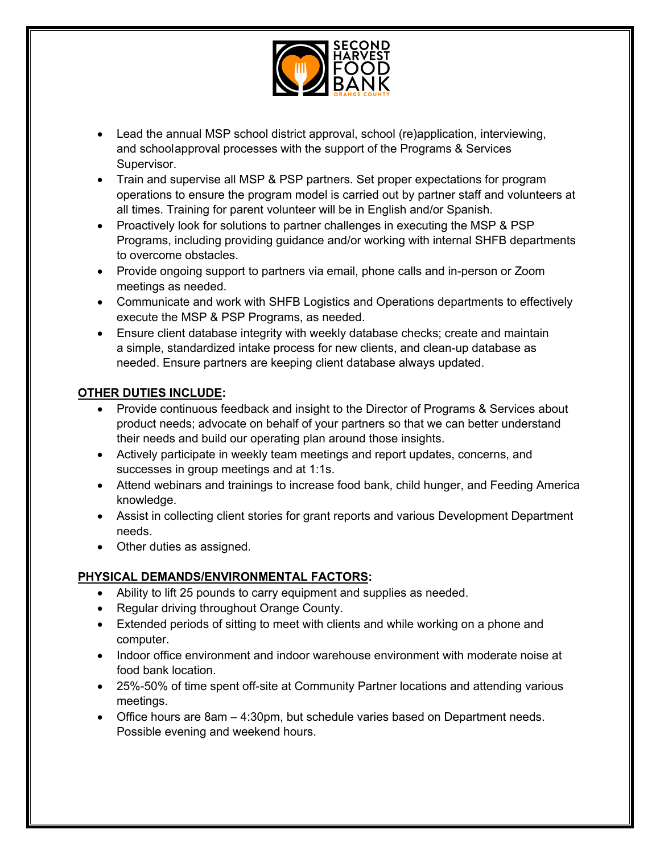

- Lead the annual MSP school district approval, school (re)application, interviewing, and schoolapproval processes with the support of the Programs & Services Supervisor.
- Train and supervise all MSP & PSP partners. Set proper expectations for program operations to ensure the program model is carried out by partner staff and volunteers at all times. Training for parent volunteer will be in English and/or Spanish.
- Proactively look for solutions to partner challenges in executing the MSP & PSP Programs, including providing guidance and/or working with internal SHFB departments to overcome obstacles.
- Provide ongoing support to partners via email, phone calls and in-person or Zoom meetings as needed.
- Communicate and work with SHFB Logistics and Operations departments to effectively execute the MSP & PSP Programs, as needed.
- Ensure client database integrity with weekly database checks; create and maintain a simple, standardized intake process for new clients, and clean-up database as needed. Ensure partners are keeping client database always updated.

## **OTHER DUTIES INCLUDE:**

- Provide continuous feedback and insight to the Director of Programs & Services about product needs; advocate on behalf of your partners so that we can better understand their needs and build our operating plan around those insights.
- Actively participate in weekly team meetings and report updates, concerns, and successes in group meetings and at 1:1s.
- Attend webinars and trainings to increase food bank, child hunger, and Feeding America knowledge.
- Assist in collecting client stories for grant reports and various Development Department needs.
- Other duties as assigned.

## **PHYSICAL DEMANDS/ENVIRONMENTAL FACTORS:**

- Ability to lift 25 pounds to carry equipment and supplies as needed.
- Regular driving throughout Orange County.
- Extended periods of sitting to meet with clients and while working on a phone and computer.
- Indoor office environment and indoor warehouse environment with moderate noise at food bank location.
- 25%-50% of time spent off-site at Community Partner locations and attending various meetings.
- Office hours are 8am 4:30pm, but schedule varies based on Department needs. Possible evening and weekend hours.